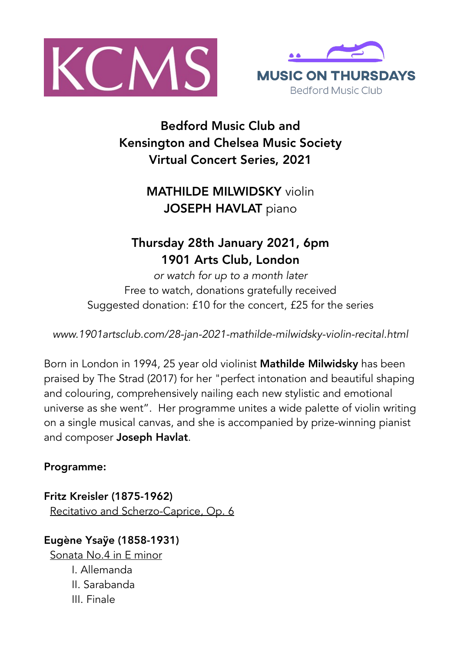



### Bedford Music Club and Kensington and Chelsea Music Society Virtual Concert Series, 2021

# MATHILDE MILWIDSKY violin JOSEPH HAVLAT piano

## Thursday 28th January 2021, 6pm 1901 Arts Club, London

*or watch for up to a month later*  Free to watch, donations gratefully received Suggested donation: £10 for the concert, £25 for the series

*www.1901artsclub.com/28-jan-2021-mathilde-milwidsky-violin-recital.html* 

Born in London in 1994, 25 year old violinist Mathilde Milwidsky has been praised by The Strad (2017) for her "perfect intonation and beautiful shaping and colouring, comprehensively nailing each new stylistic and emotional universe as she went". Her programme unites a wide palette of violin writing on a single musical canvas, and she is accompanied by prize-winning pianist and composer Joseph Havlat.

#### Programme:

Fritz Kreisler (1875-1962) [Recitativo and Scherzo-Caprice, Op. 6](https://www.allmusic.com/composition/recitativo-and-scherzo-caprice-for-solo-violin-op-6-mc0002658059?cmpconsent=&cmpnoniab=&cmpreprompthash=&cmpredirect)

Eugène Ysaÿe (1858-1931)

[Sonata No.4 in E minor](https://www.allmusic.com/composition/sonata-for-violin-solo-no-4-in-e-minor-dedicated-to-f-kreisler-op-27-4-mc0002498181) I. Allemanda II. Sarabanda III. Finale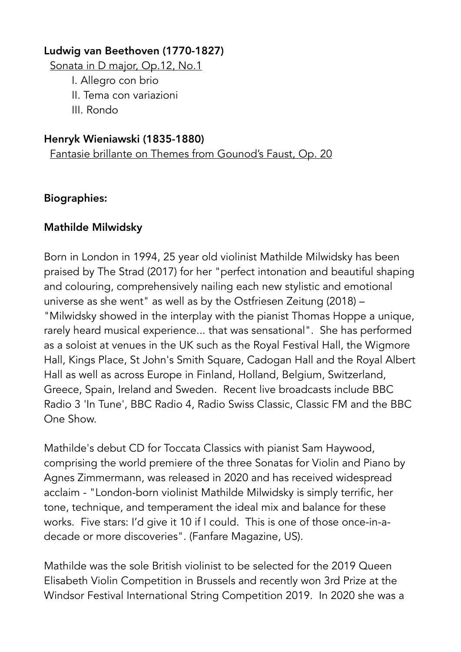#### Ludwig van Beethoven (1770-1827)

[Sonata in D major, Op.12, No.1](https://www.allmusic.com/composition/sonata-for-violin-piano-no-1-in-d-major-op-12-1-mc0002451670)

I. Allegro con brio

II. Tema con variazioni

III. Rondo

#### Henryk Wieniawski (1835-1880)

[Fantasie brillante on Themes from Gounod's Faust, Op. 20](https://www.allmusic.com/composition/fantaisie-brillante-on-themes-from-gounods-faust-for-violin-orchestra-op-20-mc0002376299)

#### Biographies:

#### Mathilde Milwidsky

Born in London in 1994, 25 year old violinist Mathilde Milwidsky has been praised by The Strad (2017) for her "perfect intonation and beautiful shaping and colouring, comprehensively nailing each new stylistic and emotional universe as she went" as well as by the Ostfriesen Zeitung (2018) – "Milwidsky showed in the interplay with the pianist Thomas Hoppe a unique, rarely heard musical experience... that was sensational". She has performed as a soloist at venues in the UK such as the Royal Festival Hall, the Wigmore Hall, Kings Place, St John's Smith Square, Cadogan Hall and the Royal Albert Hall as well as across Europe in Finland, Holland, Belgium, Switzerland, Greece, Spain, Ireland and Sweden. Recent live broadcasts include BBC Radio 3 'In Tune', BBC Radio 4, Radio Swiss Classic, Classic FM and the BBC One Show.

Mathilde's debut CD for Toccata Classics with pianist Sam Haywood, comprising the world premiere of the three Sonatas for Violin and Piano by Agnes Zimmermann, was released in 2020 and has received widespread acclaim - "London-born violinist Mathilde Milwidsky is simply terrific, her tone, technique, and temperament the ideal mix and balance for these works. Five stars: I'd give it 10 if I could. This is one of those once-in-adecade or more discoveries". (Fanfare Magazine, US).

Mathilde was the sole British violinist to be selected for the 2019 Queen Elisabeth Violin Competition in Brussels and recently won 3rd Prize at the Windsor Festival International String Competition 2019. In 2020 she was a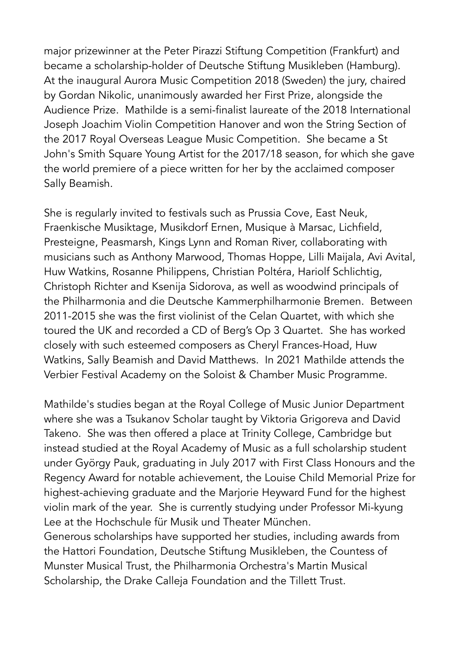major prizewinner at the Peter Pirazzi Stiftung Competition (Frankfurt) and became a scholarship-holder of Deutsche Stiftung Musikleben (Hamburg). At the inaugural Aurora Music Competition 2018 (Sweden) the jury, chaired by Gordan Nikolic, unanimously awarded her First Prize, alongside the Audience Prize. Mathilde is a semi-finalist laureate of the 2018 International Joseph Joachim Violin Competition Hanover and won the String Section of the 2017 Royal Overseas League Music Competition. She became a St John's Smith Square Young Artist for the 2017/18 season, for which she gave the world premiere of a piece written for her by the acclaimed composer Sally Beamish.

She is regularly invited to festivals such as Prussia Cove, East Neuk, Fraenkische Musiktage, Musikdorf Ernen, Musique à Marsac, Lichfield, Presteigne, Peasmarsh, Kings Lynn and Roman River, collaborating with musicians such as Anthony Marwood, Thomas Hoppe, Lilli Maijala, Avi Avital, Huw Watkins, Rosanne Philippens, Christian Poltéra, Hariolf Schlichtig, Christoph Richter and Ksenija Sidorova, as well as woodwind principals of the Philharmonia and die Deutsche Kammerphilharmonie Bremen. Between 2011-2015 she was the first violinist of the Celan Quartet, with which she toured the UK and recorded a CD of Berg's Op 3 Quartet. She has worked closely with such esteemed composers as Cheryl Frances-Hoad, Huw Watkins, Sally Beamish and David Matthews. In 2021 Mathilde attends the Verbier Festival Academy on the Soloist & Chamber Music Programme.

Mathilde's studies began at the Royal College of Music Junior Department where she was a Tsukanov Scholar taught by Viktoria Grigoreva and David Takeno. She was then offered a place at Trinity College, Cambridge but instead studied at the Royal Academy of Music as a full scholarship student under György Pauk, graduating in July 2017 with First Class Honours and the Regency Award for notable achievement, the Louise Child Memorial Prize for highest-achieving graduate and the Marjorie Heyward Fund for the highest violin mark of the year. She is currently studying under Professor Mi-kyung Lee at the Hochschule für Musik und Theater München.

Generous scholarships have supported her studies, including awards from the Hattori Foundation, Deutsche Stiftung Musikleben, the Countess of Munster Musical Trust, the Philharmonia Orchestra's Martin Musical Scholarship, the Drake Calleja Foundation and the Tillett Trust.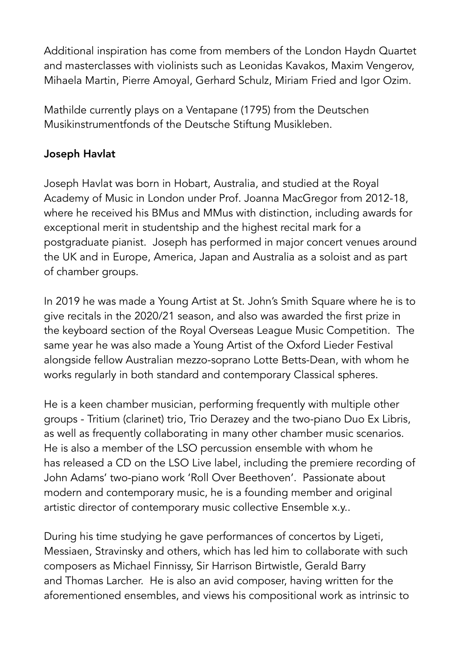Additional inspiration has come from members of the London Haydn Quartet and masterclasses with violinists such as Leonidas Kavakos, Maxim Vengerov, Mihaela Martin, Pierre Amoyal, Gerhard Schulz, Miriam Fried and Igor Ozim.

Mathilde currently plays on a Ventapane (1795) from the Deutschen Musikinstrumentfonds of the Deutsche Stiftung Musikleben.

#### Joseph Havlat

Joseph Havlat was born in Hobart, Australia, and studied at the Royal Academy of Music in London under Prof. Joanna MacGregor from 2012-18, where he received his BMus and MMus with distinction, including awards for exceptional merit in studentship and the highest recital mark for a postgraduate pianist. Joseph has performed in major concert venues around the UK and in Europe, America, Japan and Australia as a soloist and as part of chamber groups.

In 2019 he was made a Young Artist at St. John's Smith Square where he is to give recitals in the 2020/21 season, and also was awarded the first prize in the keyboard section of the Royal Overseas League Music Competition. The same year he was also made a Young Artist of the Oxford Lieder Festival alongside fellow Australian mezzo-soprano Lotte Betts-Dean, with whom he works regularly in both standard and contemporary Classical spheres.

He is a keen chamber musician, performing frequently with multiple other groups - Tritium (clarinet) trio, Trio Derazey and the two-piano Duo Ex Libris, as well as frequently collaborating in many other chamber music scenarios. He is also a member of the LSO percussion ensemble with whom he has released a CD on the LSO Live label, including the premiere recording of John Adams' two-piano work 'Roll Over Beethoven'. Passionate about modern and contemporary music, he is a founding member and original artistic director of contemporary music collective Ensemble x.y..

During his time studying he gave performances of concertos by Ligeti, Messiaen, Stravinsky and others, which has led him to collaborate with such composers as Michael Finnissy, Sir Harrison Birtwistle, Gerald Barry and Thomas Larcher. He is also an avid composer, having written for the aforementioned ensembles, and views his compositional work as intrinsic to